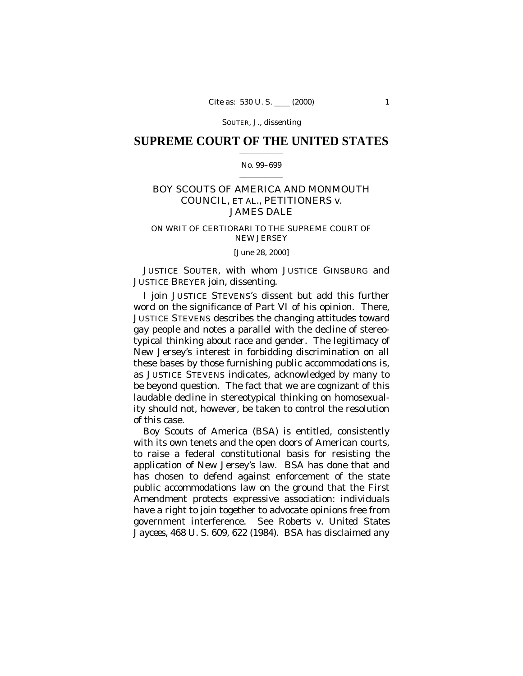SOUTER, J., dissenting

## **SUPREME COURT OF THE UNITED STATES**  $\mathcal{L}=\mathcal{L}^{\mathcal{L}}$  , where  $\mathcal{L}^{\mathcal{L}}$

### No. 99–699  $\mathcal{L}=\mathcal{L}^{\mathcal{L}}$  , where  $\mathcal{L}^{\mathcal{L}}$

# BOY SCOUTS OF AMERICA AND MONMOUTH COUNCIL, ET AL., PETITIONERS *v.* JAMES DALE

# ON WRIT OF CERTIORARI TO THE SUPREME COURT OF NEW JERSEY

## [June 28, 2000]

JUSTICE SOUTER, with whom JUSTICE GINSBURG and JUSTICE BREYER join, dissenting.

I join JUSTICE STEVENS's dissent but add this further word on the significance of Part VI of his opinion. There, JUSTICE STEVENS describes the changing attitudes toward gay people and notes a parallel with the decline of stereotypical thinking about race and gender. The legitimacy of New Jersey's interest in forbidding discrimination on all these bases by those furnishing public accommodations is, as JUSTICE STEVENS indicates, acknowledged by many to be beyond question. The fact that we are cognizant of this laudable decline in stereotypical thinking on homosexuality should not, however, be taken to control the resolution of this case.

Boy Scouts of America (BSA) is entitled, consistently with its own tenets and the open doors of American courts, to raise a federal constitutional basis for resisting the application of New Jersey's law. BSA has done that and has chosen to defend against enforcement of the state public accommodations law on the ground that the First Amendment protects expressive association: individuals have a right to join together to advocate opinions free from government interference. See *Roberts* v. *United States Jaycees,* 468 U. S. 609, 622 (1984). BSA has disclaimed any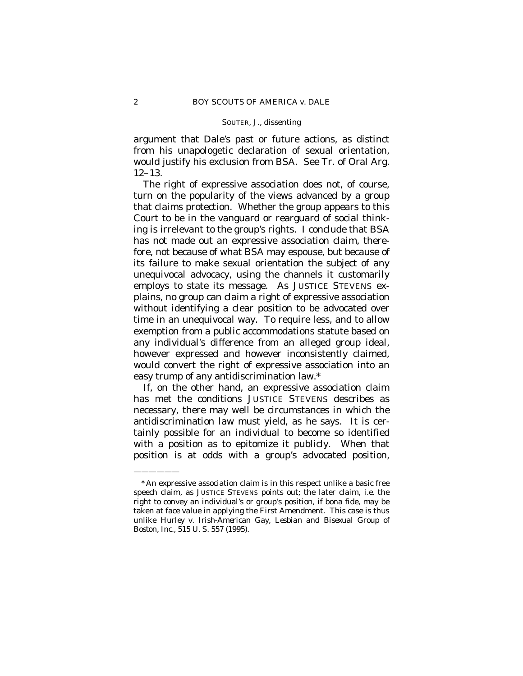#### SOUTER, J., dissenting

argument that Dale's past or future actions, as distinct from his unapologetic declaration of sexual orientation, would justify his exclusion from BSA. See Tr. of Oral Arg. 12–13.

The right of expressive association does not, of course, turn on the popularity of the views advanced by a group that claims protection. Whether the group appears to this Court to be in the vanguard or rearguard of social thinking is irrelevant to the group's rights. I conclude that BSA has not made out an expressive association claim, therefore, not because of what BSA may espouse, but because of its failure to make sexual orientation the subject of any unequivocal advocacy, using the channels it customarily employs to state its message. As JUSTICE STEVENS explains, no group can claim a right of expressive association without identifying a clear position to be advocated over time in an unequivocal way. To require less, and to allow exemption from a public accommodations statute based on any individual's difference from an alleged group ideal, however expressed and however inconsistently claimed, would convert the right of expressive association into an easy trump of any antidiscrimination law.\*

If, on the other hand, an expressive association claim has met the conditions JUSTICE STEVENS describes as necessary, there may well be circumstances in which the antidiscrimination law must yield, as he says. It is certainly possible for an individual to become so identified with a position as to epitomize it publicly. When that position is at odds with a group's advocated position,

——————

<sup>\*</sup>An expressive association claim is in this respect unlike a basic free speech claim, as JUSTICE STEVENS points out; the later claim, *i.e.* the right to convey an individual's or group's position, if bona fide, may be taken at face value in applying the First Amendment. This case is thus unlike *Hurley* v. *Irish-American Gay, Lesbian and Bisexual Group of Boston, Inc.,* 515 U. S. 557 (1995).